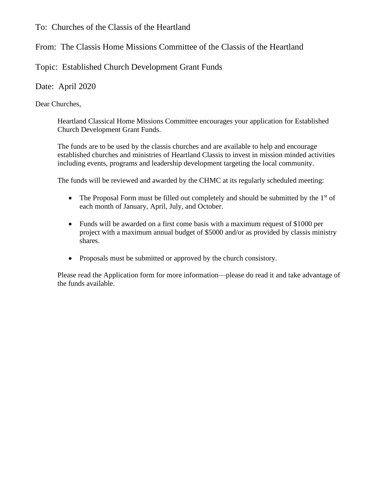To: Churches of the Classis of the Heartland

From: The Classis Home Missions Committee of the Classis of the Heartland

Topic: Established Church Development Grant Funds

Date: April 2020

Dear Churches,

Heartland Classical Home Missions Committee encourages your application for Established Church Development Grant Funds.

The funds are to be used by the classis churches and are available to help and encourage established churches and ministries of Heartland Classis to invest in mission minded activities including events, programs and leadership development targeting the local community.

The funds will be reviewed and awarded by the CHMC at its regularly scheduled meeting:

- The Proposal Form must be filled out completely and should be submitted by the  $1<sup>st</sup>$  of each month of January, April, July, and October.
- Funds will be awarded on a first come basis with a maximum request of \$1000 per project with a maximum annual budget of \$5000 and/or as provided by classis ministry shares.
- Proposals must be submitted or approved by the church consistory.

Please read the Application form for more information—please do read it and take advantage of the funds available.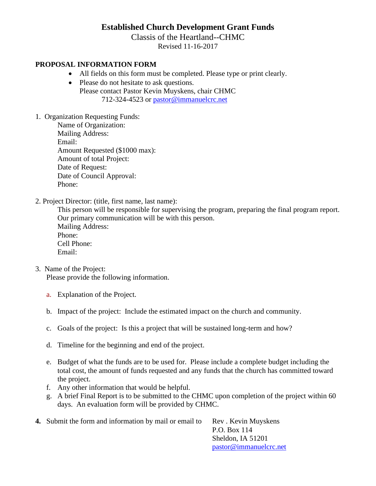## **Established Church Development Grant Funds**

Classis of the Heartland--CHMC

Revised 11-16-2017

## **PROPOSAL INFORMATION FORM**

- All fields on this form must be completed. Please type or print clearly.
- Please do not hesitate to ask questions. Please contact Pastor Kevin Muyskens, chair CHMC 712-324-4523 or [pastor@immanuelcrc.net](mailto:pastor@immanuelcrc.net)
- 1. Organization Requesting Funds:

Name of Organization: Mailing Address: Email: Amount Requested (\$1000 max): Amount of total Project: Date of Request: Date of Council Approval: Phone:

2. Project Director: (title, first name, last name):

This person will be responsible for supervising the program, preparing the final program report. Our primary communication will be with this person. Mailing Address: Phone: Cell Phone: Email:

3. Name of the Project:

Please provide the following information.

- a. Explanation of the Project.
- b. Impact of the project: Include the estimated impact on the church and community.
- c. Goals of the project: Is this a project that will be sustained long-term and how?
- d. Timeline for the beginning and end of the project.
- e. Budget of what the funds are to be used for. Please include a complete budget including the total cost, the amount of funds requested and any funds that the church has committed toward the project.
- f. Any other information that would be helpful.
- g. A brief Final Report is to be submitted to the CHMC upon completion of the project within 60 days. An evaluation form will be provided by CHMC.

| <b>4.</b> Submit the form and information by mail or email to | Rev. Kevin Muyskens    |
|---------------------------------------------------------------|------------------------|
|                                                               | P.O. Box 114           |
|                                                               | Sheldon, IA 51201      |
|                                                               | pastor@immanuelcrc.net |